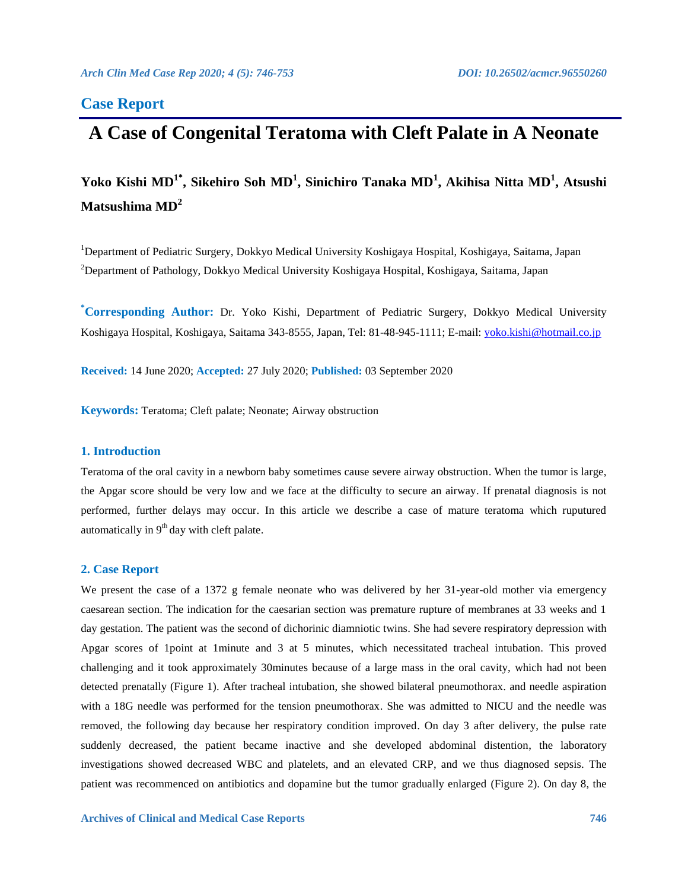# **Case Report**

# **A Case of Congenital Teratoma with Cleft Palate in A Neonate**

**Yoko Kishi MD<sup>1</sup>\* , Sikehiro Soh MD<sup>1</sup> , Sinichiro Tanaka MD<sup>1</sup> , Akihisa Nitta MD<sup>1</sup> , Atsushi Matsushima MD<sup>2</sup>**

<sup>1</sup>Department of Pediatric Surgery, Dokkyo Medical University Koshigaya Hospital, Koshigaya, Saitama, Japan <sup>2</sup>Department of Pathology, Dokkyo Medical University Koshigaya Hospital, Koshigaya, Saitama, Japan

**\*Corresponding Author:** Dr. Yoko Kishi, Department of Pediatric Surgery, Dokkyo Medical University Koshigaya Hospital, Koshigaya, Saitama 343-8555, Japan, Tel: 81-48-945-1111; E-mail: [yoko.kishi@hotmail.co.jp](mailto:yoko.kishi@hotmail.co.jp)

**Received:** 14 June 2020; **Accepted:** 27 July 2020; **Published:** 03 September 2020

**Keywords:** Teratoma; Cleft palate; Neonate; Airway obstruction

# **1. Introduction**

Teratoma of the oral cavity in a newborn baby sometimes cause severe airway obstruction. When the tumor is large, the Apgar score should be very low and we face at the difficulty to secure an airway. If prenatal diagnosis is not performed, further delays may occur. In this article we describe a case of mature teratoma which ruputured automatically in  $9<sup>th</sup>$  day with cleft palate.

# **2. Case Report**

We present the case of a 1372 g female neonate who was delivered by her 31-year-old mother via emergency caesarean section. The indication for the caesarian section was premature rupture of membranes at 33 weeks and 1 day gestation. The patient was the second of dichorinic diamniotic twins. She had severe respiratory depression with Apgar scores of 1point at 1minute and 3 at 5 minutes, which necessitated tracheal intubation. This proved challenging and it took approximately 30minutes because of a large mass in the oral cavity, which had not been detected prenatally (Figure 1). After tracheal intubation, she showed bilateral pneumothorax. and needle aspiration with a 18G needle was performed for the tension pneumothorax. She was admitted to NICU and the needle was removed, the following day because her respiratory condition improved. On day 3 after delivery, the pulse rate suddenly decreased, the patient became inactive and she developed abdominal distention, the laboratory investigations showed decreased WBC and platelets, and an elevated CRP, and we thus diagnosed sepsis. The patient was recommenced on antibiotics and dopamine but the tumor gradually enlarged (Figure 2). On day 8, the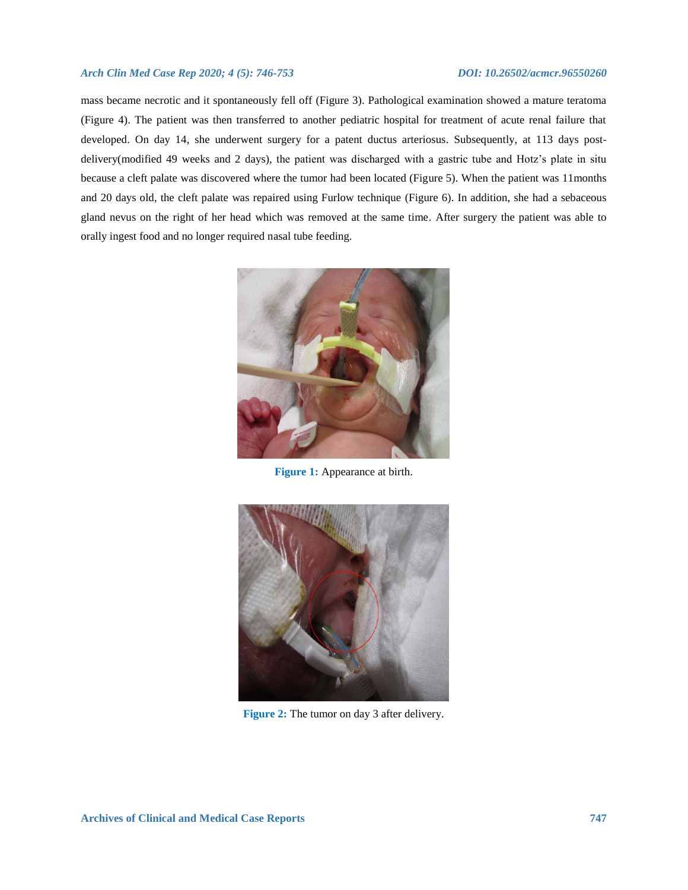mass became necrotic and it spontaneously fell off (Figure 3). Pathological examination showed a mature teratoma (Figure 4). The patient was then transferred to another pediatric hospital for treatment of acute renal failure that developed. On day 14, she underwent surgery for a patent ductus arteriosus. Subsequently, at 113 days postdelivery(modified 49 weeks and 2 days), the patient was discharged with a gastric tube and Hotz's plate in situ because a cleft palate was discovered where the tumor had been located (Figure 5). When the patient was 11months and 20 days old, the cleft palate was repaired using Furlow technique (Figure 6). In addition, she had a sebaceous gland nevus on the right of her head which was removed at the same time. After surgery the patient was able to orally ingest food and no longer required nasal tube feeding.



**Figure 1:** Appearance at birth.



**Figure 2:** The tumor on day 3 after delivery.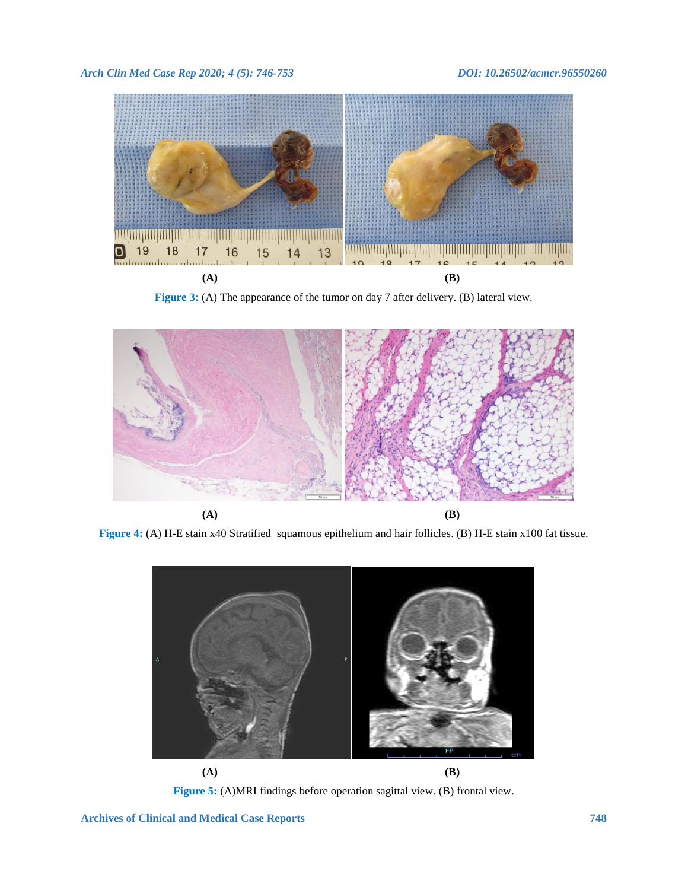

**Figure 3:** (A) The appearance of the tumor on day 7 after delivery. (B) lateral view.



**Figure 4:** (A) H-E stain x40 Stratified squamous epithelium and hair follicles. (B) H-E stain x100 fat tissue.



**Figure 5:** (A)MRI findings before operation sagittal view. (B) frontal view.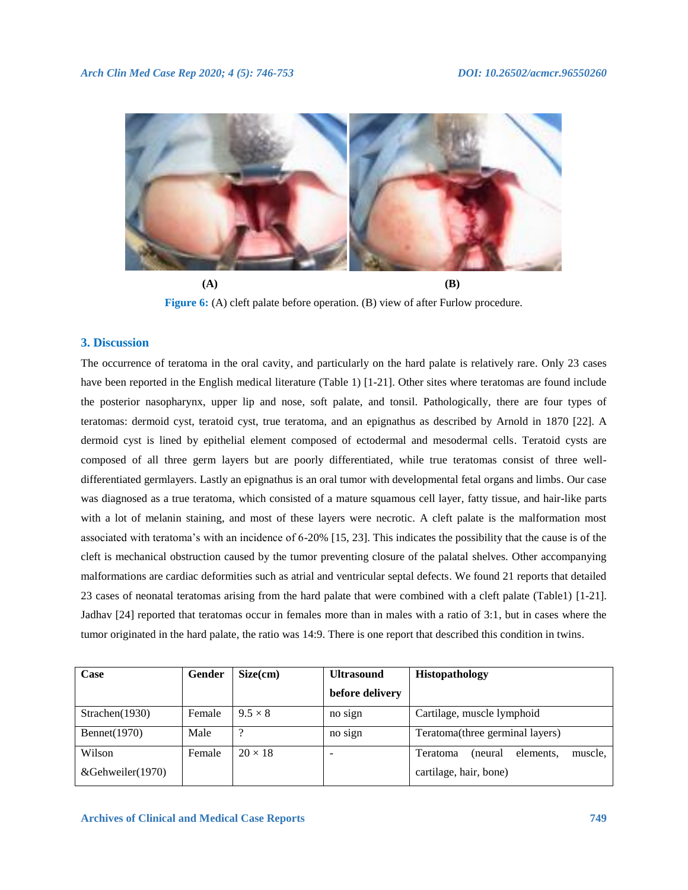

**(A) (B) Figure 6:** (A) cleft palate before operation. (B) view of after Furlow procedure.

# **3. Discussion**

The occurrence of teratoma in the oral cavity, and particularly on the hard palate is relatively rare. Only 23 cases have been reported in the English medical literature (Table 1) [1-21]. Other sites where teratomas are found include the posterior nasopharynx, upper lip and nose, soft palate, and tonsil. Pathologically, there are four types of teratomas: dermoid cyst, teratoid cyst, true teratoma, and an epignathus as described by Arnold in 1870 [22]. A dermoid cyst is lined by epithelial element composed of ectodermal and mesodermal cells. Teratoid cysts are composed of all three germ layers but are poorly differentiated, while true teratomas consist of three welldifferentiated germlayers. Lastly an epignathus is an oral tumor with developmental fetal organs and limbs. Our case was diagnosed as a true teratoma, which consisted of a mature squamous cell layer, fatty tissue, and hair-like parts with a lot of melanin staining, and most of these layers were necrotic. A cleft palate is the malformation most associated with teratoma's with an incidence of 6-20% [15, 23]. This indicates the possibility that the cause is of the cleft is mechanical obstruction caused by the tumor preventing closure of the palatal shelves. Other accompanying malformations are cardiac deformities such as atrial and ventricular septal defects. We found 21 reports that detailed 23 cases of neonatal teratomas arising from the hard palate that were combined with a cleft palate (Table1) [1-21]. Jadhav [24] reported that teratomas occur in females more than in males with a ratio of 3:1, but in cases where the tumor originated in the hard palate, the ratio was 14:9. There is one report that described this condition in twins.

| Case                 | Gender | Size(cm)       | <b>Ultrasound</b> | <b>Histopathology</b>                       |
|----------------------|--------|----------------|-------------------|---------------------------------------------|
|                      |        |                | before delivery   |                                             |
| Strachen $(1930)$    | Female | $9.5 \times 8$ | no sign           | Cartilage, muscle lymphoid                  |
| <b>Bennet</b> (1970) | Male   | $\Omega$       | no sign           | Teratoma(three germinal layers)             |
| Wilson               | Female | $20 \times 18$ | -                 | elements,<br>muscle,<br>Teratoma<br>(neural |
| &Gehweiler(1970)     |        |                |                   | cartilage, hair, bone)                      |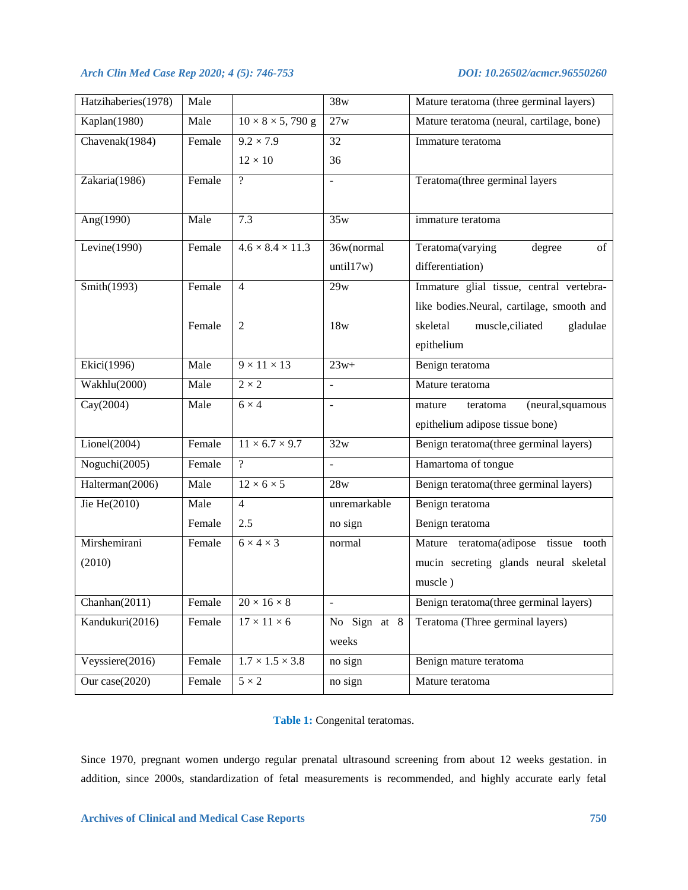| Hatzihaberies(1978) | Male   |                              | 38w            | Mature teratoma (three germinal layers)   |
|---------------------|--------|------------------------------|----------------|-------------------------------------------|
| Kaplan(1980)        | Male   | $10 \times 8 \times 5,790$ g | 27w            | Mature teratoma (neural, cartilage, bone) |
| Chavenak(1984)      | Female | $9.2 \times 7.9$             | 32             | Immature teratoma                         |
|                     |        | $12 \times 10$               | 36             |                                           |
| Zakaria(1986)       | Female | $\overline{\mathcal{L}}$     |                | Teratoma(three germinal layers            |
|                     |        |                              |                |                                           |
| Ang(1990)           | Male   | 7.3                          | 35w            | immature teratoma                         |
| Levine $(1990)$     | Female | $4.6 \times 8.4 \times 11.3$ | 36w(normal     | Teratoma(varying<br>degree<br>of          |
|                     |        |                              | until17w)      | differentiation)                          |
| Smith $(1993)$      | Female | $\overline{4}$               | 29w            | Immature glial tissue, central vertebra-  |
|                     |        |                              |                | like bodies.Neural, cartilage, smooth and |
|                     | Female | 2                            | 18w            | skeletal<br>muscle, ciliated<br>gladulae  |
|                     |        |                              |                | epithelium                                |
| Ekici $(1996)$      | Male   | $9 \times 11 \times 13$      | $23w+$         | Benign teratoma                           |
| Wakhlu(2000)        | Male   | $2 \times 2$                 | $\blacksquare$ | Mature teratoma                           |
| Cay(2004)           | Male   | $6 \times 4$                 | $\frac{1}{2}$  | (neural, squamous<br>teratoma<br>mature   |
|                     |        |                              |                | epithelium adipose tissue bone)           |
| Lionel(2004)        | Female | $11 \times 6.7 \times 9.7$   | 32w            | Benign teratoma(three germinal layers)    |
| Noguchi(2005)       | Female | $\gamma$                     | $\equiv$       | Hamartoma of tongue                       |
| Halterman(2006)     | Male   | $12 \times 6 \times 5$       | 28w            | Benign teratoma(three germinal layers)    |
| Jie He(2010)        | Male   | $\overline{4}$               | unremarkable   | Benign teratoma                           |
|                     | Female | 2.5                          | no sign        | Benign teratoma                           |
| Mirshemirani        | Female | $6 \times 4 \times 3$        | normal         | Mature teratoma(adipose tissue tooth      |
| (2010)              |        |                              |                | mucin secreting glands neural skeletal    |
|                     |        |                              |                | muscle)                                   |
| Chanhan(2011)       | Female | $20\times16\times8$          | $\blacksquare$ | Benign teratoma(three germinal layers)    |
| Kandukuri(2016)     | Female | $17\times11\times6$          | No Sign at 8   | Teratoma (Three germinal layers)          |
|                     |        |                              | weeks          |                                           |
| Veyssiere(2016)     | Female | $1.7 \times 1.5 \times 3.8$  | no sign        | Benign mature teratoma                    |
| Our case(2020)      | Female | $5 \times 2$                 | no sign        | Mature teratoma                           |

**Table 1:** Congenital teratomas.

Since 1970, pregnant women undergo regular prenatal ultrasound screening from about 12 weeks gestation. in addition, since 2000s, standardization of fetal measurements is recommended, and highly accurate early fetal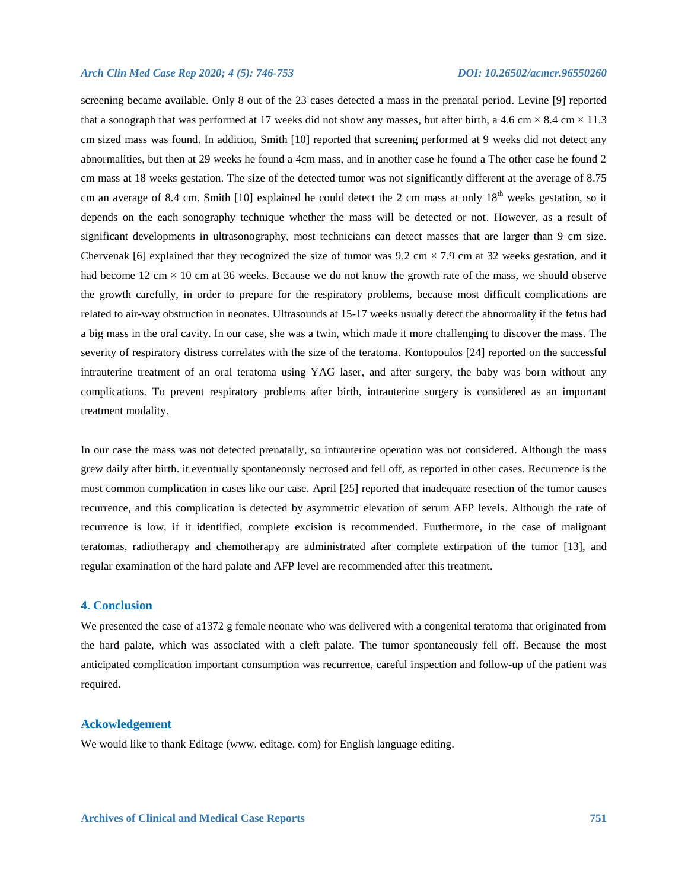screening became available. Only 8 out of the 23 cases detected a mass in the prenatal period. Levine [9] reported that a sonograph that was performed at 17 weeks did not show any masses, but after birth, a 4.6 cm  $\times$  8.4 cm  $\times$  11.3 cm sized mass was found. In addition, Smith [10] reported that screening performed at 9 weeks did not detect any abnormalities, but then at 29 weeks he found a 4cm mass, and in another case he found a The other case he found 2 cm mass at 18 weeks gestation. The size of the detected tumor was not significantly different at the average of 8.75 cm an average of 8.4 cm. Smith [10] explained he could detect the 2 cm mass at only  $18<sup>th</sup>$  weeks gestation, so it depends on the each sonography technique whether the mass will be detected or not. However, as a result of significant developments in ultrasonography, most technicians can detect masses that are larger than 9 cm size. Chervenak [6] explained that they recognized the size of tumor was  $9.2 \text{ cm} \times 7.9 \text{ cm}$  at 32 weeks gestation, and it had become 12 cm  $\times$  10 cm at 36 weeks. Because we do not know the growth rate of the mass, we should observe the growth carefully, in order to prepare for the respiratory problems, because most difficult complications are related to air-way obstruction in neonates. Ultrasounds at 15-17 weeks usually detect the abnormality if the fetus had a big mass in the oral cavity. In our case, she was a twin, which made it more challenging to discover the mass. The severity of respiratory distress correlates with the size of the teratoma. Kontopoulos [24] reported on the successful intrauterine treatment of an oral teratoma using YAG laser, and after surgery, the baby was born without any complications. To prevent respiratory problems after birth, intrauterine surgery is considered as an important treatment modality.

In our case the mass was not detected prenatally, so intrauterine operation was not considered. Although the mass grew daily after birth. it eventually spontaneously necrosed and fell off, as reported in other cases. Recurrence is the most common complication in cases like our case. April [25] reported that inadequate resection of the tumor causes recurrence, and this complication is detected by asymmetric elevation of serum AFP levels. Although the rate of recurrence is low, if it identified, complete excision is recommended. Furthermore, in the case of malignant teratomas, radiotherapy and chemotherapy are administrated after complete extirpation of the tumor [13], and regular examination of the hard palate and AFP level are recommended after this treatment.

# **4. Conclusion**

We presented the case of a1372 g female neonate who was delivered with a congenital teratoma that originated from the hard palate, which was associated with a cleft palate. The tumor spontaneously fell off. Because the most anticipated complication important consumption was recurrence, careful inspection and follow-up of the patient was required.

# **Ackowledgement**

We would like to thank Editage (www. editage. com) for English language editing.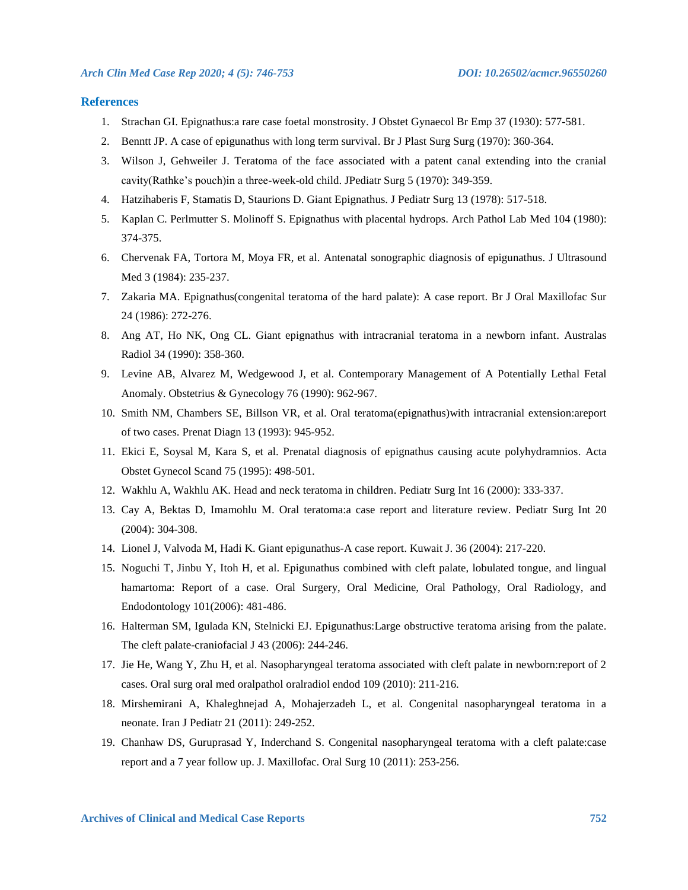### **References**

- 1. Strachan GI. Epignathus:a rare case foetal monstrosity. J Obstet Gynaecol Br Emp 37 (1930): 577-581.
- 2. Benntt JP. A case of epigunathus with long term survival. Br J Plast Surg Surg (1970): 360-364.
- 3. Wilson J, Gehweiler J. Teratoma of the face associated with a patent canal extending into the cranial cavity(Rathke's pouch)in a three-week-old child. JPediatr Surg 5 (1970): 349-359.
- 4. Hatzihaberis F, Stamatis D, Staurions D. Giant Epignathus. J Pediatr Surg 13 (1978): 517-518.
- 5. Kaplan C. Perlmutter S. Molinoff S. Epignathus with placental hydrops. Arch Pathol Lab Med 104 (1980): 374-375.
- 6. Chervenak FA, Tortora M, Moya FR, et al. Antenatal sonographic diagnosis of epigunathus. J Ultrasound Med 3 (1984): 235-237.
- 7. Zakaria MA. Epignathus(congenital teratoma of the hard palate): A case report. Br J Oral Maxillofac Sur 24 (1986): 272-276.
- 8. Ang AT, Ho NK, Ong CL. Giant epignathus with intracranial teratoma in a newborn infant. Australas Radiol 34 (1990): 358-360.
- 9. Levine AB, Alvarez M, Wedgewood J, et al. Contemporary Management of A Potentially Lethal Fetal Anomaly. Obstetrius & Gynecology 76 (1990): 962-967.
- 10. Smith NM, Chambers SE, Billson VR, et al. Oral teratoma(epignathus)with intracranial extension:areport of two cases. Prenat Diagn 13 (1993): 945-952.
- 11. Ekici E, Soysal M, Kara S, et al. Prenatal diagnosis of epignathus causing acute polyhydramnios. Acta Obstet Gynecol Scand 75 (1995): 498-501.
- 12. Wakhlu A, Wakhlu AK. Head and neck teratoma in children. Pediatr Surg Int 16 (2000): 333-337.
- 13. Cay A, Bektas D, Imamohlu M. Oral teratoma:a case report and literature review. Pediatr Surg Int 20 (2004): 304-308.
- 14. Lionel J, Valvoda M, Hadi K. Giant epigunathus-A case report. Kuwait J. 36 (2004): 217-220.
- 15. Noguchi T, Jinbu Y, Itoh H, et al. Epigunathus combined with cleft palate, lobulated tongue, and lingual hamartoma: Report of a case. Oral Surgery, Oral Medicine, Oral Pathology, Oral Radiology, and Endodontology 101(2006): 481-486.
- 16. Halterman SM, Igulada KN, Stelnicki EJ. Epigunathus:Large obstructive teratoma arising from the palate. The cleft palate-craniofacial J 43 (2006): 244-246.
- 17. Jie He, Wang Y, Zhu H, et al. Nasopharyngeal teratoma associated with cleft palate in newborn:report of 2 cases. Oral surg oral med oralpathol oralradiol endod 109 (2010): 211-216.
- 18. Mirshemirani A, Khaleghnejad A, Mohajerzadeh L, et al. Congenital nasopharyngeal teratoma in a neonate. Iran J Pediatr 21 (2011): 249-252.
- 19. Chanhaw DS, Guruprasad Y, Inderchand S. Congenital nasopharyngeal teratoma with a cleft palate:case report and a 7 year follow up. J. Maxillofac. Oral Surg 10 (2011): 253-256.